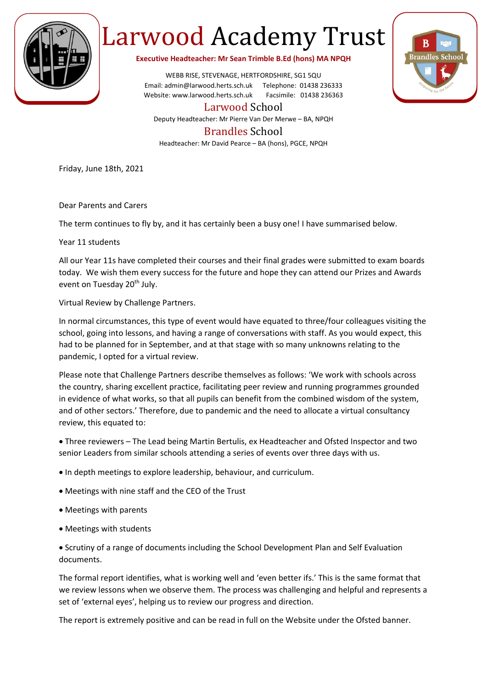

## Larwood Academy Trust

**Executive Headteacher: Mr Sean Trimble B.Ed (hons) MA NPQH**

WEBB RISE, STEVENAGE, HERTFORDSHIRE, SG1 5QU Email: admin@larwood.herts.sch.uk Telephone: 01438 236333 Website: www.larwood.herts.sch.uk Facsimile: 01438 236363

Larwood School

Deputy Headteacher: Mr Pierre Van Der Merwe – BA, NPQH

## Brandles School

Headteacher: Mr David Pearce – BA (hons), PGCE, NPQH

Friday, June 18th, 2021

Dear Parents and Carers

The term continues to fly by, and it has certainly been a busy one! I have summarised below.

Year 11 students

All our Year 11s have completed their courses and their final grades were submitted to exam boards today. We wish them every success for the future and hope they can attend our Prizes and Awards event on Tuesday 20<sup>th</sup> July.

Virtual Review by Challenge Partners.

In normal circumstances, this type of event would have equated to three/four colleagues visiting the school, going into lessons, and having a range of conversations with staff. As you would expect, this had to be planned for in September, and at that stage with so many unknowns relating to the pandemic, I opted for a virtual review.

Please note that Challenge Partners describe themselves as follows: 'We work with schools across the country, sharing excellent practice, facilitating peer review and running programmes grounded in evidence of what works, so that all pupils can benefit from the combined wisdom of the system, and of other sectors.' Therefore, due to pandemic and the need to allocate a virtual consultancy review, this equated to:

• Three reviewers – The Lead being Martin Bertulis, ex Headteacher and Ofsted Inspector and two senior Leaders from similar schools attending a series of events over three days with us.

- In depth meetings to explore leadership, behaviour, and curriculum.
- Meetings with nine staff and the CEO of the Trust
- Meetings with parents
- Meetings with students

• Scrutiny of a range of documents including the School Development Plan and Self Evaluation documents.

The formal report identifies, what is working well and 'even better ifs.' This is the same format that we review lessons when we observe them. The process was challenging and helpful and represents a set of 'external eyes', helping us to review our progress and direction.

The report is extremely positive and can be read in full on the Website under the Ofsted banner.